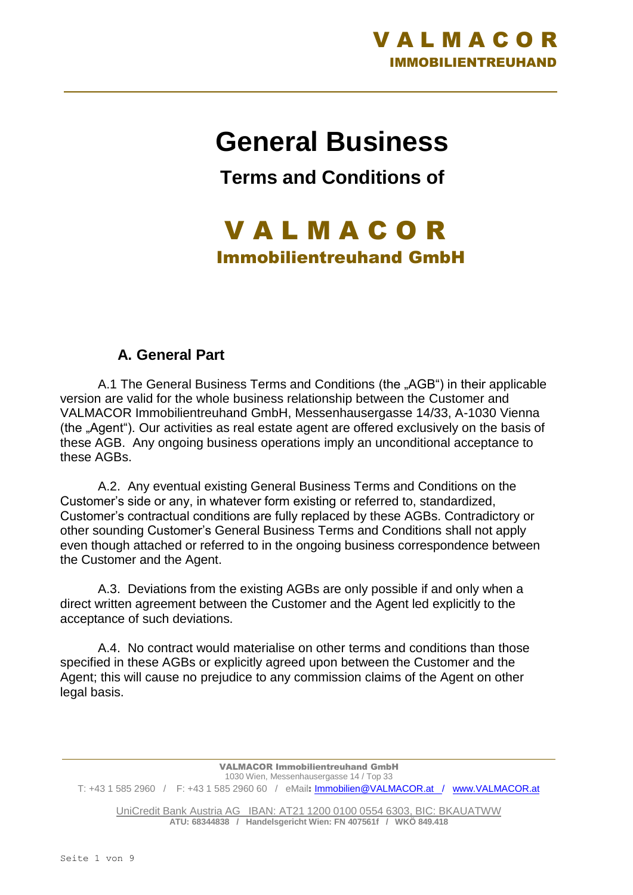

# **General Business**

**Terms and Conditions of**

## V A L M A C O R Immobilientreuhand GmbH

#### **A. General Part**

A.1 The General Business Terms and Conditions (the "AGB") in their applicable version are valid for the whole business relationship between the Customer and VALMACOR Immobilientreuhand GmbH, Messenhausergasse 14/33, A-1030 Vienna (the "Agent"). Our activities as real estate agent are offered exclusively on the basis of these AGB. Any ongoing business operations imply an unconditional acceptance to these AGBs.

A.2. Any eventual existing General Business Terms and Conditions on the Customer's side or any, in whatever form existing or referred to, standardized, Customer's contractual conditions are fully replaced by these AGBs. Contradictory or other sounding Customer's General Business Terms and Conditions shall not apply even though attached or referred to in the ongoing business correspondence between the Customer and the Agent.

A.3. Deviations from the existing AGBs are only possible if and only when a direct written agreement between the Customer and the Agent led explicitly to the acceptance of such deviations.

A.4. No contract would materialise on other terms and conditions than those specified in these AGBs or explicitly agreed upon between the Customer and the Agent; this will cause no prejudice to any commission claims of the Agent on other legal basis.

VALMACOR Immobilientreuhand GmbH 1030 Wien, Messenhausergasse 14 / Top 33 T: +43 1 585 2960 / F: +43 1 585 2960 60 / eMail: [Immobilien@VALMACOR.at /](mailto:Immobilien@VALMACOR.at) [www.VALMACOR.at](http://www.valmacor.at/)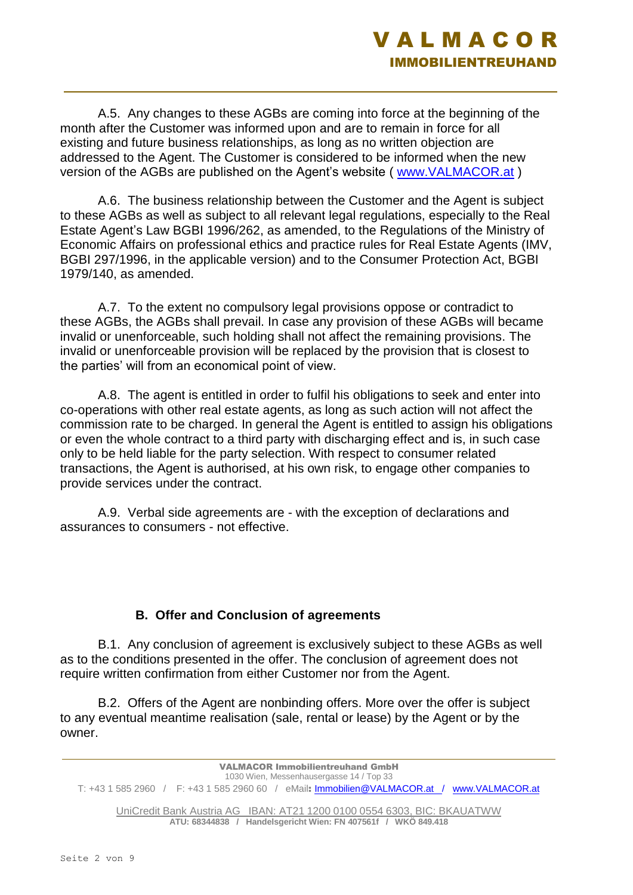

A.5. Any changes to these AGBs are coming into force at the beginning of the month after the Customer was informed upon and are to remain in force for all existing and future business relationships, as long as no written objection are addressed to the Agent. The Customer is considered to be informed when the new version of the AGBs are published on the Agent's website ( [www.VALMACOR.at](http://www.valmacor.at/) )

A.6. The business relationship between the Customer and the Agent is subject to these AGBs as well as subject to all relevant legal regulations, especially to the Real Estate Agent's Law BGBI 1996/262, as amended, to the Regulations of the Ministry of Economic Affairs on professional ethics and practice rules for Real Estate Agents (IMV, BGBI 297/1996, in the applicable version) and to the Consumer Protection Act, BGBI 1979/140, as amended.

A.7. To the extent no compulsory legal provisions oppose or contradict to these AGBs, the AGBs shall prevail. In case any provision of these AGBs will became invalid or unenforceable, such holding shall not affect the remaining provisions. The invalid or unenforceable provision will be replaced by the provision that is closest to the parties' will from an economical point of view.

A.8. The agent is entitled in order to fulfil his obligations to seek and enter into co-operations with other real estate agents, as long as such action will not affect the commission rate to be charged. In general the Agent is entitled to assign his obligations or even the whole contract to a third party with discharging effect and is, in such case only to be held liable for the party selection. With respect to consumer related transactions, the Agent is authorised, at his own risk, to engage other companies to provide services under the contract.

A.9. Verbal side agreements are - with the exception of declarations and assurances to consumers - not effective.

#### **B. Offer and Conclusion of agreements**

B.1. Any conclusion of agreement is exclusively subject to these AGBs as well as to the conditions presented in the offer. The conclusion of agreement does not require written confirmation from either Customer nor from the Agent.

B.2. Offers of the Agent are nonbinding offers. More over the offer is subject to any eventual meantime realisation (sale, rental or lease) by the Agent or by the owner.

VALMACOR Immobilientreuhand GmbH 1030 Wien, Messenhausergasse 14 / Top 33 T: +43 1 585 2960 / F: +43 1 585 2960 60 / eMail: [Immobilien@VALMACOR.at /](mailto:Immobilien@VALMACOR.at) [www.VALMACOR.at](http://www.valmacor.at/)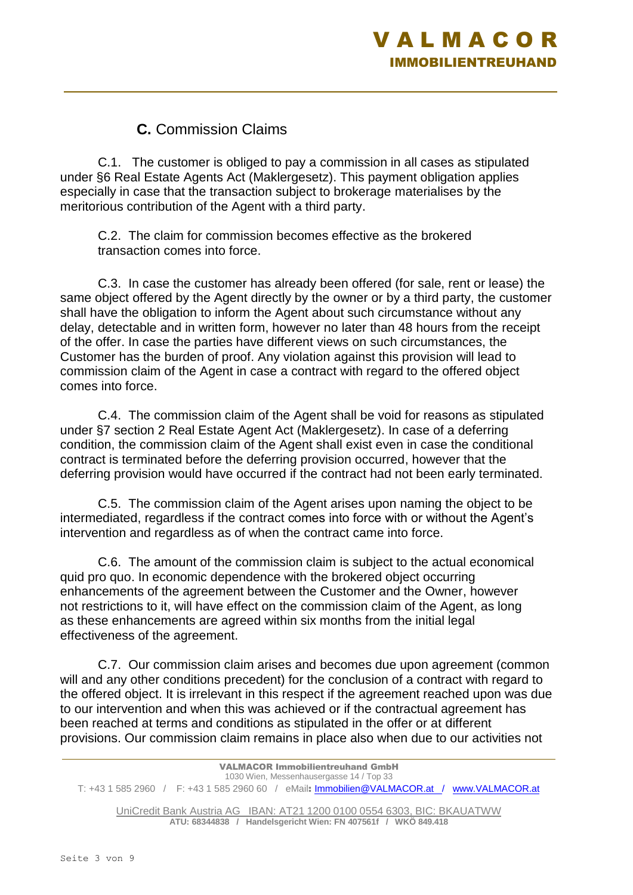### **C.** Commission Claims

C.1. The customer is obliged to pay a commission in all cases as stipulated under §6 Real Estate Agents Act (Maklergesetz). This payment obligation applies especially in case that the transaction subject to brokerage materialises by the meritorious contribution of the Agent with a third party.

C.2. The claim for commission becomes effective as the brokered transaction comes into force.

C.3. In case the customer has already been offered (for sale, rent or lease) the same object offered by the Agent directly by the owner or by a third party, the customer shall have the obligation to inform the Agent about such circumstance without any delay, detectable and in written form, however no later than 48 hours from the receipt of the offer. In case the parties have different views on such circumstances, the Customer has the burden of proof. Any violation against this provision will lead to commission claim of the Agent in case a contract with regard to the offered object comes into force.

C.4. The commission claim of the Agent shall be void for reasons as stipulated under §7 section 2 Real Estate Agent Act (Maklergesetz). In case of a deferring condition, the commission claim of the Agent shall exist even in case the conditional contract is terminated before the deferring provision occurred, however that the deferring provision would have occurred if the contract had not been early terminated.

C.5. The commission claim of the Agent arises upon naming the object to be intermediated, regardless if the contract comes into force with or without the Agent's intervention and regardless as of when the contract came into force.

C.6. The amount of the commission claim is subject to the actual economical quid pro quo. In economic dependence with the brokered object occurring enhancements of the agreement between the Customer and the Owner, however not restrictions to it, will have effect on the commission claim of the Agent, as long as these enhancements are agreed within six months from the initial legal effectiveness of the agreement.

C.7. Our commission claim arises and becomes due upon agreement (common will and any other conditions precedent) for the conclusion of a contract with regard to the offered object. It is irrelevant in this respect if the agreement reached upon was due to our intervention and when this was achieved or if the contractual agreement has been reached at terms and conditions as stipulated in the offer or at different provisions. Our commission claim remains in place also when due to our activities not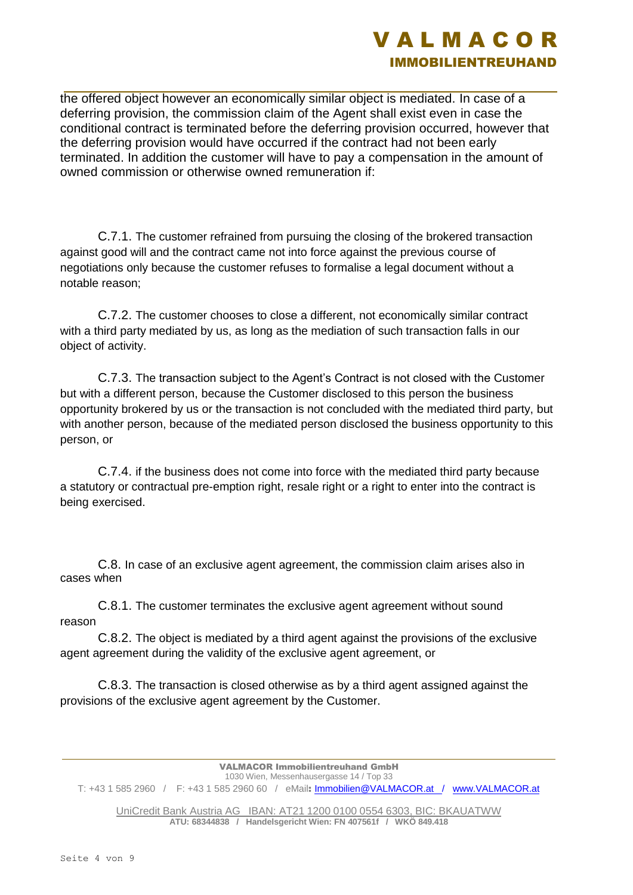

the offered object however an economically similar object is mediated. In case of a deferring provision, the commission claim of the Agent shall exist even in case the conditional contract is terminated before the deferring provision occurred, however that the deferring provision would have occurred if the contract had not been early terminated. In addition the customer will have to pay a compensation in the amount of owned commission or otherwise owned remuneration if:

C.7.1. The customer refrained from pursuing the closing of the brokered transaction against good will and the contract came not into force against the previous course of negotiations only because the customer refuses to formalise a legal document without a notable reason;

C.7.2. The customer chooses to close a different, not economically similar contract with a third party mediated by us, as long as the mediation of such transaction falls in our object of activity.

C.7.3. The transaction subject to the Agent's Contract is not closed with the Customer but with a different person, because the Customer disclosed to this person the business opportunity brokered by us or the transaction is not concluded with the mediated third party, but with another person, because of the mediated person disclosed the business opportunity to this person, or

C.7.4. if the business does not come into force with the mediated third party because a statutory or contractual pre-emption right, resale right or a right to enter into the contract is being exercised.

C.8. In case of an exclusive agent agreement, the commission claim arises also in cases when

C.8.1. The customer terminates the exclusive agent agreement without sound reason

C.8.2. The object is mediated by a third agent against the provisions of the exclusive agent agreement during the validity of the exclusive agent agreement, or

C.8.3. The transaction is closed otherwise as by a third agent assigned against the provisions of the exclusive agent agreement by the Customer.

VALMACOR Immobilientreuhand GmbH 1030 Wien, Messenhausergasse 14 / Top 33 T: +43 1 585 2960 / F: +43 1 585 2960 60 / eMail: [Immobilien@VALMACOR.at /](mailto:Immobilien@VALMACOR.at) [www.VALMACOR.at](http://www.valmacor.at/)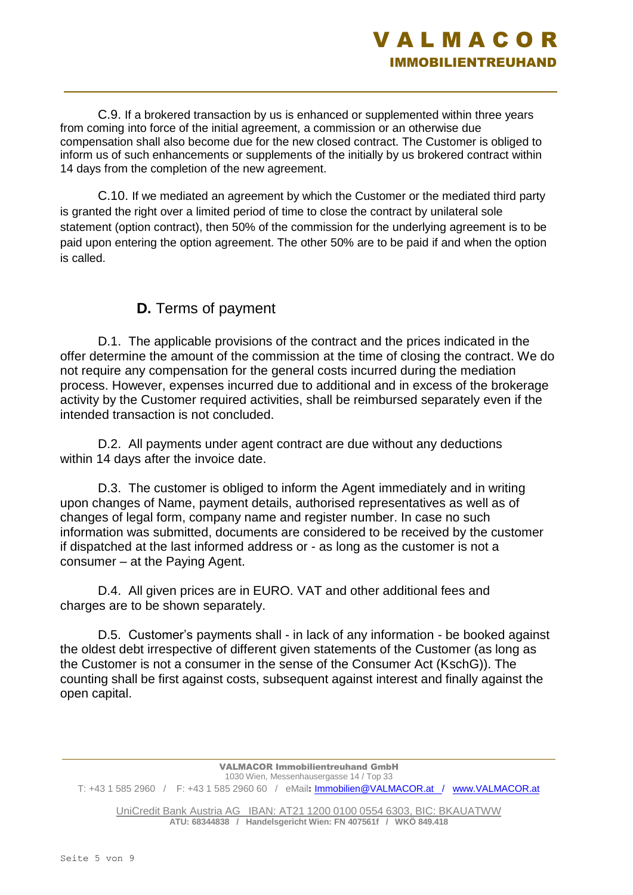

C.9. If a brokered transaction by us is enhanced or supplemented within three years from coming into force of the initial agreement, a commission or an otherwise due compensation shall also become due for the new closed contract. The Customer is obliged to inform us of such enhancements or supplements of the initially by us brokered contract within 14 days from the completion of the new agreement.

C.10. If we mediated an agreement by which the Customer or the mediated third party is granted the right over a limited period of time to close the contract by unilateral sole statement (option contract), then 50% of the commission for the underlying agreement is to be paid upon entering the option agreement. The other 50% are to be paid if and when the option is called.

#### **D.** Terms of payment

D.1. The applicable provisions of the contract and the prices indicated in the offer determine the amount of the commission at the time of closing the contract. We do not require any compensation for the general costs incurred during the mediation process. However, expenses incurred due to additional and in excess of the brokerage activity by the Customer required activities, shall be reimbursed separately even if the intended transaction is not concluded.

D.2. All payments under agent contract are due without any deductions within 14 days after the invoice date.

D.3. The customer is obliged to inform the Agent immediately and in writing upon changes of Name, payment details, authorised representatives as well as of changes of legal form, company name and register number. In case no such information was submitted, documents are considered to be received by the customer if dispatched at the last informed address or - as long as the customer is not a consumer – at the Paying Agent.

D.4. All given prices are in EURO. VAT and other additional fees and charges are to be shown separately.

D.5. Customer's payments shall - in lack of any information - be booked against the oldest debt irrespective of different given statements of the Customer (as long as the Customer is not a consumer in the sense of the Consumer Act (KschG)). The counting shall be first against costs, subsequent against interest and finally against the open capital.

VALMACOR Immobilientreuhand GmbH 1030 Wien, Messenhausergasse 14 / Top 33 T: +43 1 585 2960 / F: +43 1 585 2960 60 / eMail: [Immobilien@VALMACOR.at /](mailto:Immobilien@VALMACOR.at) [www.VALMACOR.at](http://www.valmacor.at/)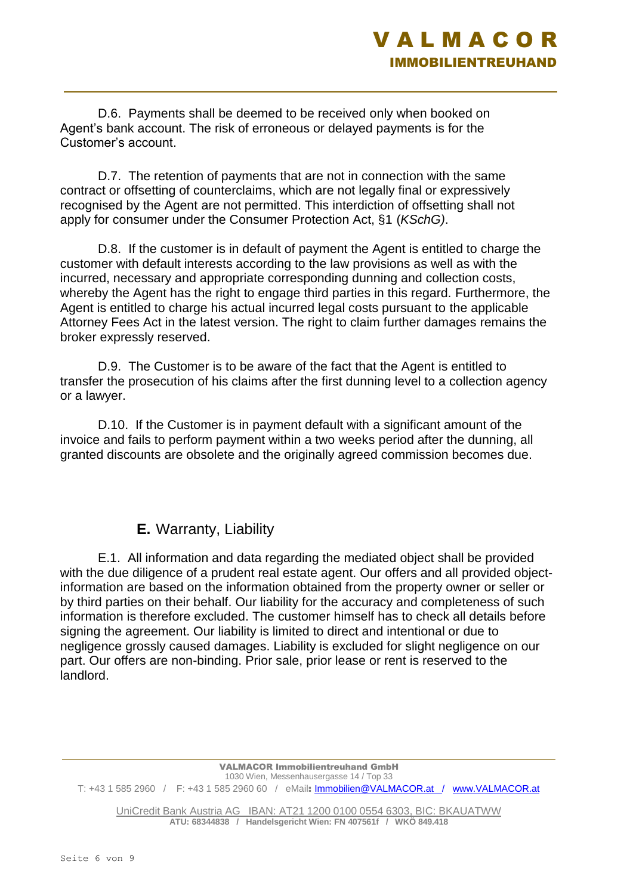

D.6. Payments shall be deemed to be received only when booked on Agent's bank account. The risk of erroneous or delayed payments is for the Customer's account.

D.7. The retention of payments that are not in connection with the same contract or offsetting of counterclaims, which are not legally final or expressively recognised by the Agent are not permitted. This interdiction of offsetting shall not apply for consumer under the Consumer Protection Act, §1 (*KSchG)*.

D.8. If the customer is in default of payment the Agent is entitled to charge the customer with default interests according to the law provisions as well as with the incurred, necessary and appropriate corresponding dunning and collection costs, whereby the Agent has the right to engage third parties in this regard. Furthermore, the Agent is entitled to charge his actual incurred legal costs pursuant to the applicable Attorney Fees Act in the latest version. The right to claim further damages remains the broker expressly reserved.

D.9. The Customer is to be aware of the fact that the Agent is entitled to transfer the prosecution of his claims after the first dunning level to a collection agency or a lawyer.

D.10. If the Customer is in payment default with a significant amount of the invoice and fails to perform payment within a two weeks period after the dunning, all granted discounts are obsolete and the originally agreed commission becomes due.

#### **E.** Warranty, Liability

E.1. All information and data regarding the mediated object shall be provided with the due diligence of a prudent real estate agent. Our offers and all provided objectinformation are based on the information obtained from the property owner or seller or by third parties on their behalf. Our liability for the accuracy and completeness of such information is therefore excluded. The customer himself has to check all details before signing the agreement. Our liability is limited to direct and intentional or due to negligence grossly caused damages. Liability is excluded for slight negligence on our part. Our offers are non-binding. Prior sale, prior lease or rent is reserved to the landlord.

VALMACOR Immobilientreuhand GmbH 1030 Wien, Messenhausergasse 14 / Top 33 T: +43 1 585 2960 / F: +43 1 585 2960 60 / eMail: [Immobilien@VALMACOR.at /](mailto:Immobilien@VALMACOR.at) [www.VALMACOR.at](http://www.valmacor.at/)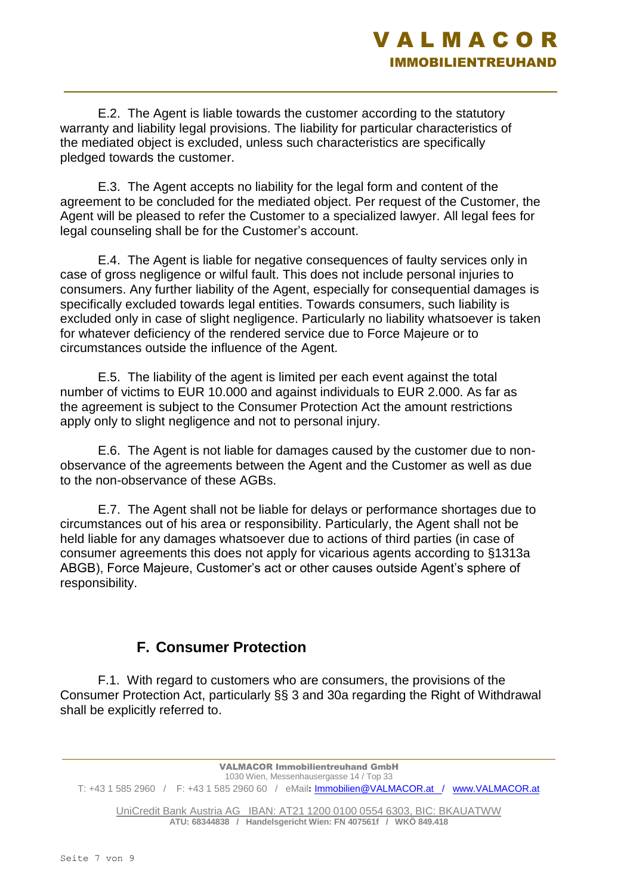### V A L M A C O R IMMOBILIENTREUHAND

E.2. The Agent is liable towards the customer according to the statutory warranty and liability legal provisions. The liability for particular characteristics of the mediated object is excluded, unless such characteristics are specifically pledged towards the customer.

E.3. The Agent accepts no liability for the legal form and content of the agreement to be concluded for the mediated object. Per request of the Customer, the Agent will be pleased to refer the Customer to a specialized lawyer. All legal fees for legal counseling shall be for the Customer's account.

E.4. The Agent is liable for negative consequences of faulty services only in case of gross negligence or wilful fault. This does not include personal injuries to consumers. Any further liability of the Agent, especially for consequential damages is specifically excluded towards legal entities. Towards consumers, such liability is excluded only in case of slight negligence. Particularly no liability whatsoever is taken for whatever deficiency of the rendered service due to Force Majeure or to circumstances outside the influence of the Agent.

E.5. The liability of the agent is limited per each event against the total number of victims to EUR 10.000 and against individuals to EUR 2.000. As far as the agreement is subject to the Consumer Protection Act the amount restrictions apply only to slight negligence and not to personal injury.

E.6. The Agent is not liable for damages caused by the customer due to nonobservance of the agreements between the Agent and the Customer as well as due to the non-observance of these AGBs.

E.7. The Agent shall not be liable for delays or performance shortages due to circumstances out of his area or responsibility. Particularly, the Agent shall not be held liable for any damages whatsoever due to actions of third parties (in case of consumer agreements this does not apply for vicarious agents according to §1313a ABGB), Force Majeure, Customer's act or other causes outside Agent's sphere of responsibility.

#### **F. Consumer Protection**

F.1. With regard to customers who are consumers, the provisions of the Consumer Protection Act, particularly §§ 3 and 30a regarding the Right of Withdrawal shall be explicitly referred to.

VALMACOR Immobilientreuhand GmbH 1030 Wien, Messenhausergasse 14 / Top 33 T: +43 1 585 2960 / F: +43 1 585 2960 60 / eMail: [Immobilien@VALMACOR.at /](mailto:Immobilien@VALMACOR.at) [www.VALMACOR.at](http://www.valmacor.at/)